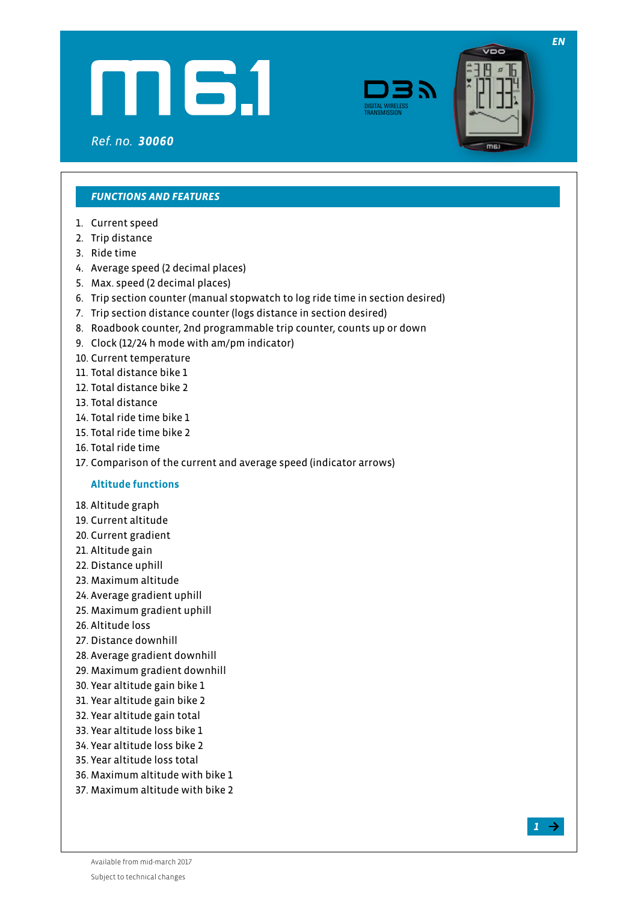





*EN*

### *FUNCTIONS AND FEATURES*

- 1. Current speed
- 2. Trip distance
- 3. Ride time
- 4. Average speed (2 decimal places)
- 5. Max. speed (2 decimal places)
- 6. Trip section counter (manual stopwatch to log ride time in section desired)
- 7. Trip section distance counter (logs distance in section desired)
- 8. Roadbook counter, 2nd programmable trip counter, counts up or down
- 9. Clock (12/24 h mode with am/pm indicator)
- 10. Current temperature
- 11. Total distance bike 1
- 12. Total distance bike 2
- 13. Total distance
- 14. Total ride time bike 1
- 15. Total ride time bike 2
- 16. Total ride time
- 17. Comparison of the current and average speed (indicator arrows)

# **Altitude functions**

- 18. Altitude graph
- 19. Current altitude
- 20. Current gradient
- 21. Altitude gain
- 22. Distance uphill
- 23. Maximum altitude
- 24. Average gradient uphill
- 25. Maximum gradient uphill
- 26. Altitude loss
- 27. Distance downhill
- 28. Average gradient downhill
- 29. Maximum gradient downhill
- 30. Year altitude gain bike 1
- 31. Year altitude gain bike 2
- 32. Year altitude gain total
- 33. Year altitude loss bike 1
- 34. Year altitude loss bike 2
- 35. Year altitude loss total
- 36. Maximum altitude with bike 1
- 37. Maximum altitude with bike 2

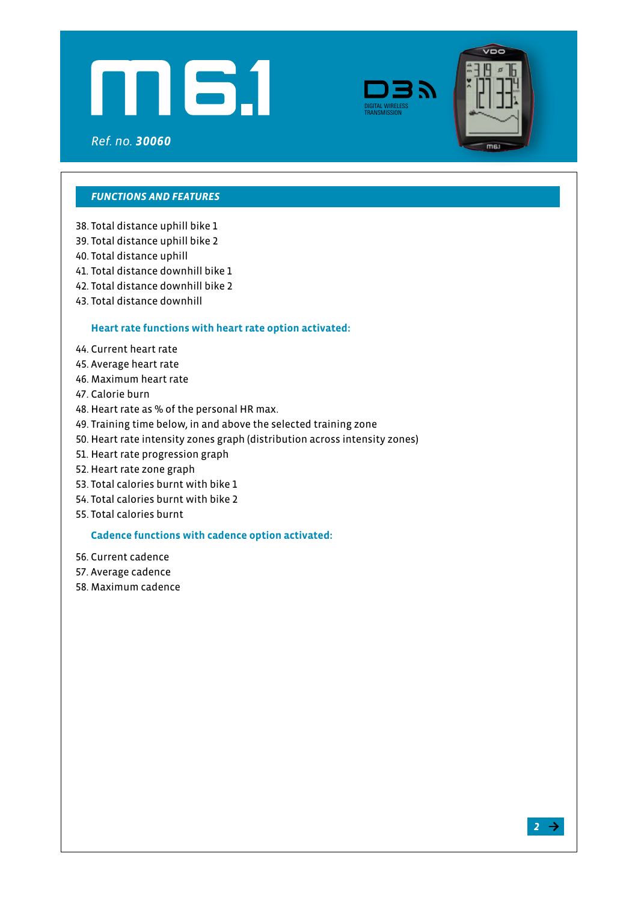





### *FUNCTIONS AND FEATURES*

- 38. Total distance uphill bike 1
- 39. Total distance uphill bike 2
- 40. Total distance uphill
- 41. Total distance downhill bike 1
- 42. Total distance downhill bike 2
- 43. Total distance downhill

#### **Heart rate functions with heart rate option activated:**

- 44. Current heart rate
- 45. Average heart rate
- 46. Maximum heart rate
- 47. Calorie burn
- 48. Heart rate as % of the personal HR max.
- 49. Training time below, in and above the selected training zone
- 50. Heart rate intensity zones graph (distribution across intensity zones)
- 51. Heart rate progression graph
- 52. Heart rate zone graph
- 53. Total calories burnt with bike 1
- 54. Total calories burnt with bike 2
- 55. Total calories burnt

#### **Cadence functions with cadence option activated:**

- 56. Current cadence
- 57. Average cadence
- 58. Maximum cadence

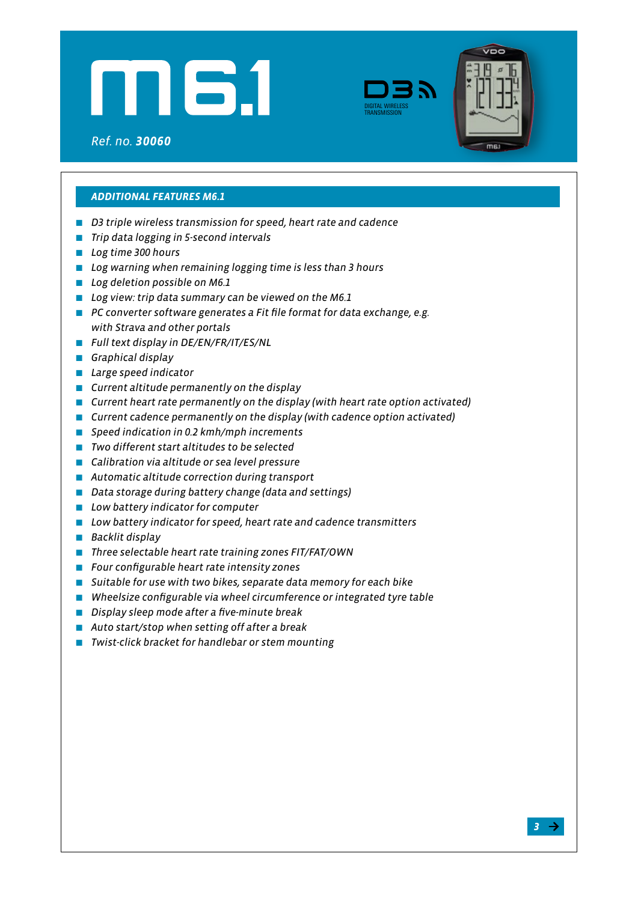





# *ADDITIONAL FEATURES M6.1*

- *D3 triple wireless transmission for speed, heart rate and cadence*
- **Trip data logging in 5-second intervals**
- *Log time 300 hours*
- *Log warning when remaining logging time is less than 3 hours*
- *Log deletion possible on M6.1*
- *Log view: trip data summary can be viewed on the M6.1*
- PC converter software generates a Fit file format for data exchange, e.g.  *with Strava and other portals*
- *Full text display in DE/EN/FR/IT/ES/NL*
- *Graphical display*
- *Large speed indicator*
- *Current altitude permanently on the display*
- *Current heart rate permanently on the display (with heart rate option activated)*
- *Current cadence permanently on the display (with cadence option activated)*
- *Speed indication in 0.2 kmh/mph increments*
- *Two different start altitudes to be selected*
- *Calibration via altitude or sea level pressure*
- *Automatic altitude correction during transport*
- *Data storage during battery change (data and settings)*
- *Low battery indicator for computer*
- *Low battery indicator for speed, heart rate and cadence transmitters*
- *Backlit display*
- *Three selectable heart rate training zones FIT/FAT/OWN*
- *Four configurable heart rate intensity zones*
- *Suitable for use with two bikes, separate data memory for each bike*
- *Wheelsize configurable via wheel circumference or integrated tyre table*
- *Display sleep mode after a five-minute break*
- *Auto start/stop when setting off after a break*
- *Twist-click bracket for handlebar or stem mounting*

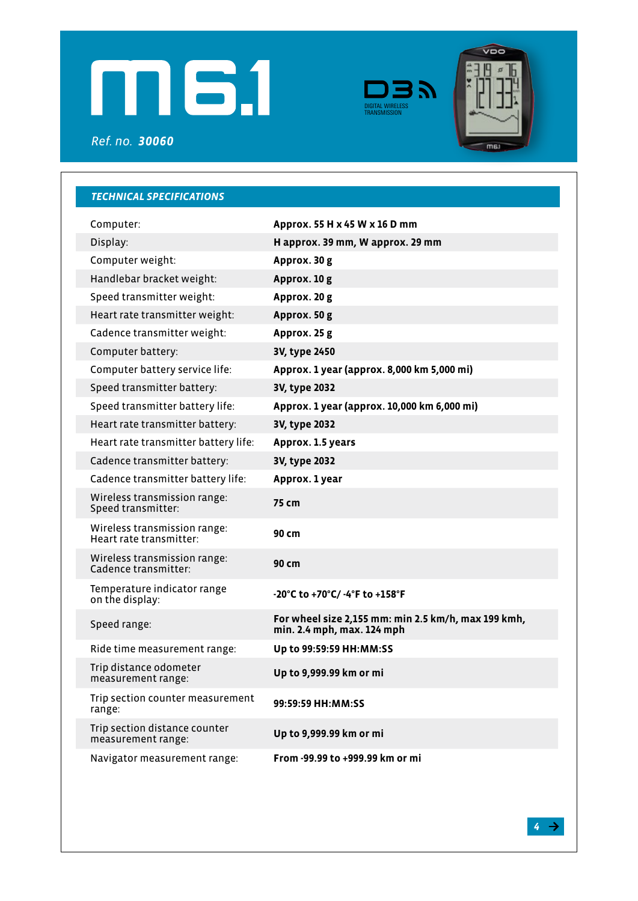





*Ref. no. 30060*

| <b>TECHNICAL SPECIFICATIONS</b>                         |                                                                                   |
|---------------------------------------------------------|-----------------------------------------------------------------------------------|
| Computer:                                               | Approx. 55 H x 45 W x 16 D mm                                                     |
| Display:                                                | H approx. 39 mm, W approx. 29 mm                                                  |
| Computer weight:                                        | Approx. 30 g                                                                      |
| Handlebar bracket weight:                               | Approx. 10 g                                                                      |
| Speed transmitter weight:                               | Approx. 20 g                                                                      |
| Heart rate transmitter weight:                          | Approx. 50 g                                                                      |
| Cadence transmitter weight:                             | Approx. 25 g                                                                      |
| Computer battery:                                       | 3V, type 2450                                                                     |
| Computer battery service life:                          | Approx. 1 year (approx. 8,000 km 5,000 mi)                                        |
| Speed transmitter battery:                              | 3V, type 2032                                                                     |
| Speed transmitter battery life:                         | Approx. 1 year (approx. 10,000 km 6,000 mi)                                       |
| Heart rate transmitter battery:                         | 3V, type 2032                                                                     |
| Heart rate transmitter battery life:                    | Approx. 1.5 years                                                                 |
| Cadence transmitter battery:                            | 3V, type 2032                                                                     |
| Cadence transmitter battery life:                       | Approx. 1 year                                                                    |
| Wireless transmission range:<br>Speed transmitter:      | 75 cm                                                                             |
| Wireless transmission range:<br>Heart rate transmitter: | 90 cm                                                                             |
| Wireless transmission range:<br>Cadence transmitter:    | 90 cm                                                                             |
| Temperature indicator range<br>on the display:          | $-20^{\circ}$ C to $+70^{\circ}$ C/ $-4^{\circ}$ F to $+158^{\circ}$ F            |
| Speed range:                                            | For wheel size 2,155 mm: min 2.5 km/h, max 199 kmh,<br>min. 2.4 mph, max. 124 mph |
| Ride time measurement range:                            | Up to 99:59:59 HH: MM: SS                                                         |
| Trip distance odometer<br>measurement range:            | Up to 9,999.99 km or mi                                                           |
| Trip section counter measurement<br>range:              | 99:59:59 HH:MM:SS                                                                 |
| Trip section distance counter<br>measurement range:     | Up to 9,999.99 km or mi                                                           |
| Navigator measurement range:                            | From -99.99 to +999.99 km or mi                                                   |